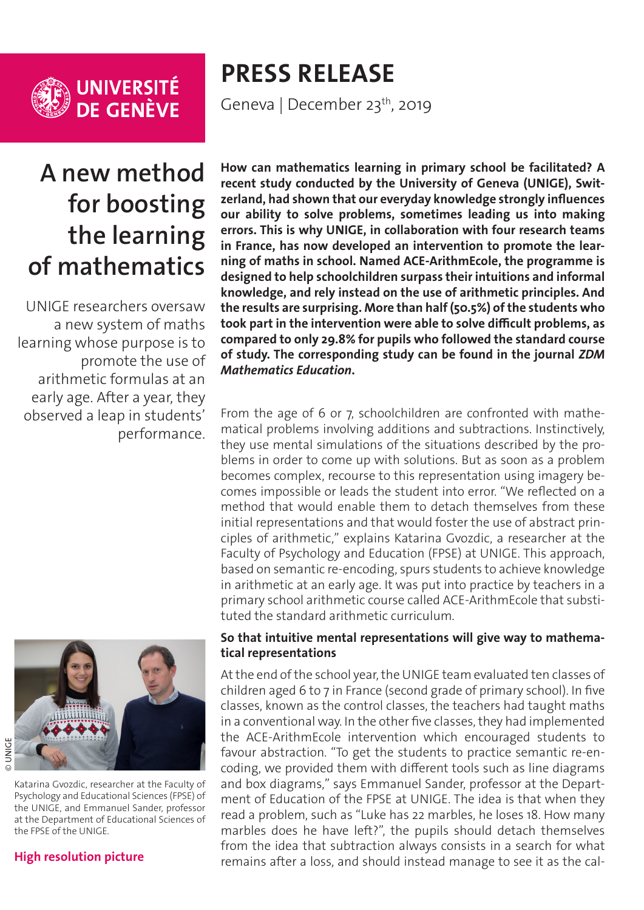

UNIVERSITÉ<br>DE GENÈVE

# **PRESS RELEASE**

Geneva | December 23<sup>th</sup>, 2019

## **A new method for boosting the learning of mathematics**

UNIGE researchers oversaw a new system of maths learning whose purpose is to promote the use of arithmetic formulas at an early age. After a year, they observed a leap in students' performance.



### **[High resolution picture](https://phototheque.unige.ch/documents/facets?newFacet=mot.cle.marc%3DCdP_180307_Gvozdic&clearFacets=1)**

**How can mathematics learning in primary school be facilitated? A recent study conducted by the University of Geneva (UNIGE), Switzerland, had shown that our everyday knowledge strongly influences our ability to solve problems, sometimes leading us into making errors. This is why UNIGE, in collaboration with four research teams in France, has now developed an intervention to promote the learning of maths in school. Named ACE-ArithmEcole, the programme is designed to help schoolchildren surpass their intuitions and informal knowledge, and rely instead on the use of arithmetic principles. And the results are surprising. More than half (50.5%) of the students who took part in the intervention were able to solve difficult problems, as compared to only 29.8% for pupils who followed the standard course of study. The corresponding study can be found in the journal** *ZDM Mathematics Education***.**

From the age of 6 or 7, schoolchildren are confronted with mathematical problems involving additions and subtractions. Instinctively, they use mental simulations of the situations described by the problems in order to come up with solutions. But as soon as a problem becomes complex, recourse to this representation using imagery becomes impossible or leads the student into error. "We reflected on a method that would enable them to detach themselves from these initial representations and that would foster the use of abstract principles of arithmetic," explains Katarina Gvozdic, a researcher at the Faculty of Psychology and Education (FPSE) at UNIGE. This approach, based on semantic re-encoding, spurs students to achieve knowledge in arithmetic at an early age. It was put into practice by teachers in a primary school arithmetic course called ACE-ArithmEcole that substituted the standard arithmetic curriculum.

#### **So that intuitive mental representations will give way to mathematical representations**

At the end of the school year, the UNIGE team evaluated ten classes of children aged 6 to 7 in France (second grade of primary school). In five classes, known as the control classes, the teachers had taught maths in a conventional way. In the other five classes, they had implemented the ACE-ArithmEcole intervention which encouraged students to favour abstraction. "To get the students to practice semantic re-encoding, we provided them with different tools such as line diagrams and box diagrams," says Emmanuel Sander, professor at the Department of Education of the FPSE at UNIGE. The idea is that when they read a problem, such as "Luke has 22 marbles, he loses 18. How many marbles does he have left?", the pupils should detach themselves from the idea that subtraction always consists in a search for what remains after a loss, and should instead manage to see it as the cal